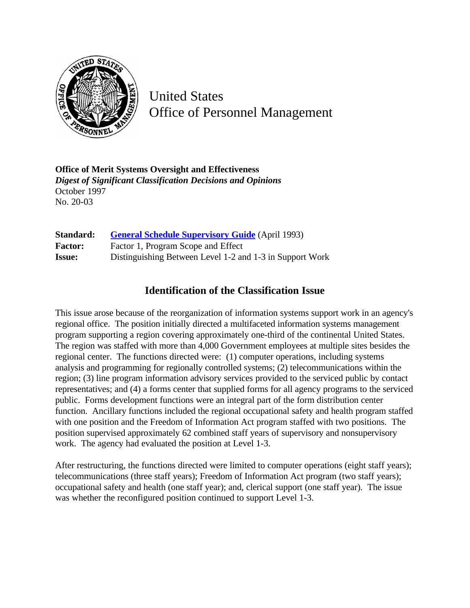

United States Office of Personnel Management

**Office of Merit Systems Oversight and Effectiveness** *Digest of Significant Classification Decisions and Opinions* October 1997 No. 20-03

| Standard:      | <b>General Schedule Supervisory Guide</b> (April 1993)   |
|----------------|----------------------------------------------------------|
| <b>Factor:</b> | Factor 1, Program Scope and Effect                       |
| <b>Issue:</b>  | Distinguishing Between Level 1-2 and 1-3 in Support Work |

## **Identification of the Classification Issue**

This issue arose because of the reorganization of information systems support work in an agency's regional office. The position initially directed a multifaceted information systems management program supporting a region covering approximately one-third of the continental United States. The region was staffed with more than 4,000 Government employees at multiple sites besides the regional center. The functions directed were: (1) computer operations, including systems analysis and programming for regionally controlled systems; (2) telecommunications within the region; (3) line program information advisory services provided to the serviced public by contact representatives; and (4) a forms center that supplied forms for all agency programs to the serviced public. Forms development functions were an integral part of the form distribution center function. Ancillary functions included the regional occupational safety and health program staffed with one position and the Freedom of Information Act program staffed with two positions. The position supervised approximately 62 combined staff years of supervisory and nonsupervisory work. The agency had evaluated the position at Level 1-3.

After restructuring, the functions directed were limited to computer operations (eight staff years); telecommunications (three staff years); Freedom of Information Act program (two staff years); occupational safety and health (one staff year); and, clerical support (one staff year). The issue was whether the reconfigured position continued to support Level 1-3.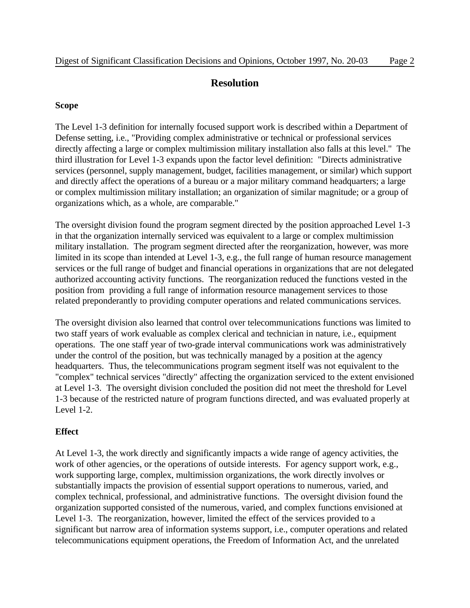## **Resolution**

## **Scope**

The Level 1-3 definition for internally focused support work is described within a Department of Defense setting, i.e., "Providing complex administrative or technical or professional services directly affecting a large or complex multimission military installation also falls at this level." The third illustration for Level 1-3 expands upon the factor level definition: "Directs administrative services (personnel, supply management, budget, facilities management, or similar) which support and directly affect the operations of a bureau or a major military command headquarters; a large or complex multimission military installation; an organization of similar magnitude; or a group of organizations which, as a whole, are comparable."

The oversight division found the program segment directed by the position approached Level 1-3 in that the organization internally serviced was equivalent to a large or complex multimission military installation. The program segment directed after the reorganization, however, was more limited in its scope than intended at Level 1-3, e.g., the full range of human resource management services or the full range of budget and financial operations in organizations that are not delegated authorized accounting activity functions. The reorganization reduced the functions vested in the position from providing a full range of information resource management services to those related preponderantly to providing computer operations and related communications services.

The oversight division also learned that control over telecommunications functions was limited to two staff years of work evaluable as complex clerical and technician in nature, i.e., equipment operations. The one staff year of two-grade interval communications work was administratively under the control of the position, but was technically managed by a position at the agency headquarters. Thus, the telecommunications program segment itself was not equivalent to the "complex" technical services "directly" affecting the organization serviced to the extent envisioned at Level 1-3. The oversight division concluded the position did not meet the threshold for Level 1-3 because of the restricted nature of program functions directed, and was evaluated properly at Level 1-2.

## **Effect**

At Level 1-3, the work directly and significantly impacts a wide range of agency activities, the work of other agencies, or the operations of outside interests. For agency support work, e.g., work supporting large, complex, multimission organizations, the work directly involves or substantially impacts the provision of essential support operations to numerous, varied, and complex technical, professional, and administrative functions. The oversight division found the organization supported consisted of the numerous, varied, and complex functions envisioned at Level 1-3. The reorganization, however, limited the effect of the services provided to a significant but narrow area of information systems support, i.e., computer operations and related telecommunications equipment operations, the Freedom of Information Act, and the unrelated